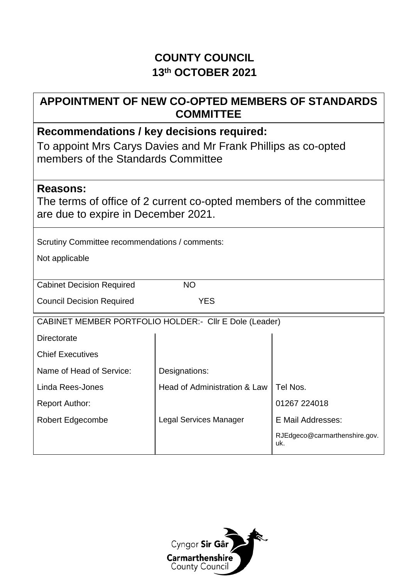# **COUNTY COUNCIL 13th OCTOBER 2021**

## **APPOINTMENT OF NEW CO-OPTED MEMBERS OF STANDARDS COMMITTEE**

# **Recommendations / key decisions required:**

To appoint Mrs Carys Davies and Mr Frank Phillips as co-opted members of the Standards Committee

#### **Reasons:**

The terms of office of 2 current co-opted members of the committee are due to expire in December 2021.

| Scrutiny Committee recommendations / comments:          |                               |                                      |  |  |  |  |
|---------------------------------------------------------|-------------------------------|--------------------------------------|--|--|--|--|
| Not applicable                                          |                               |                                      |  |  |  |  |
|                                                         |                               |                                      |  |  |  |  |
| <b>Cabinet Decision Required</b>                        | <b>NO</b>                     |                                      |  |  |  |  |
| <b>Council Decision Required</b>                        | <b>YES</b>                    |                                      |  |  |  |  |
| CABINET MEMBER PORTFOLIO HOLDER: - CIIr E Dole (Leader) |                               |                                      |  |  |  |  |
| <b>Directorate</b>                                      |                               |                                      |  |  |  |  |
| <b>Chief Executives</b>                                 |                               |                                      |  |  |  |  |
| Name of Head of Service:                                | Designations:                 |                                      |  |  |  |  |
| Linda Rees-Jones                                        | Head of Administration & Law  | Tel Nos.                             |  |  |  |  |
| <b>Report Author:</b>                                   |                               | 01267 224018                         |  |  |  |  |
| Robert Edgecombe                                        | <b>Legal Services Manager</b> | E Mail Addresses:                    |  |  |  |  |
|                                                         |                               | RJEdgeco@carmarthenshire.gov.<br>uk. |  |  |  |  |

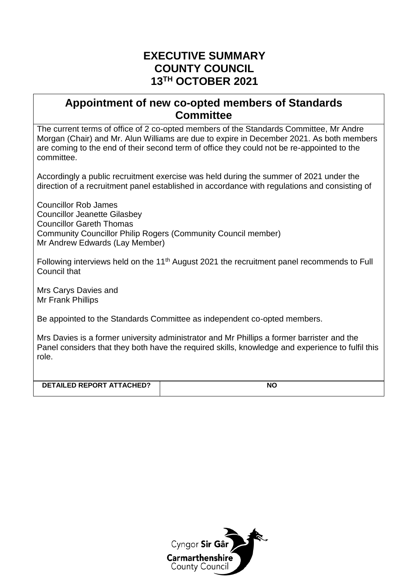### **EXECUTIVE SUMMARY COUNTY COUNCIL 13TH OCTOBER 2021**

#### **Appointment of new co-opted members of Standards Committee**

The current terms of office of 2 co-opted members of the Standards Committee, Mr Andre Morgan (Chair) and Mr. Alun Williams are due to expire in December 2021. As both members are coming to the end of their second term of office they could not be re-appointed to the committee.

Accordingly a public recruitment exercise was held during the summer of 2021 under the direction of a recruitment panel established in accordance with regulations and consisting of

Councillor Rob James Councillor Jeanette Gilasbey Councillor Gareth Thomas Community Councillor Philip Rogers (Community Council member) Mr Andrew Edwards (Lay Member)

Following interviews held on the 11<sup>th</sup> August 2021 the recruitment panel recommends to Full Council that

Mrs Carys Davies and Mr Frank Phillips

Be appointed to the Standards Committee as independent co-opted members.

Mrs Davies is a former university administrator and Mr Phillips a former barrister and the Panel considers that they both have the required skills, knowledge and experience to fulfil this role.

**DETAILED REPORT ATTACHED? NO**